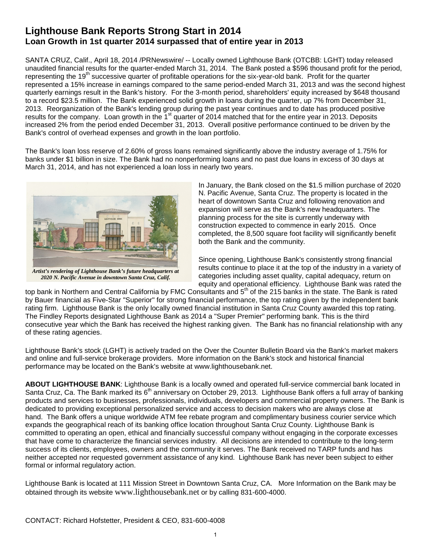## **Lighthouse Bank Reports Strong Start in 2014 Loan Growth in 1st quarter 2014 surpassed that of entire year in 2013**

SANTA CRUZ, Calif., April 18, 2014 /PRNewswire/ -- Locally owned Lighthouse Bank (OTCBB: LGHT) today released unaudited financial results for the quarter-ended March 31, 2014. The Bank posted a \$596 thousand profit for the period, representing the 19<sup>th</sup> successive quarter of profitable operations for the six-year-old bank. Profit for the quarter represented a 15% increase in earnings compared to the same period-ended March 31, 2013 and was the second highest quarterly earnings result in the Bank's history. For the 3-month period, shareholders' equity increased by \$648 thousand to a record \$23.5 million. The Bank experienced solid growth in loans during the quarter, up 7% from December 31, 2013. Reorganization of the Bank's lending group during the past year continues and to date has produced positive results for the company. Loan growth in the 1<sup>st</sup> quarter of 2014 matched that for the entire year in 2013. Deposits increased 2% from the period ended December 31, 2013. Overall positive performance continued to be driven by the Bank's control of overhead expenses and growth in the loan portfolio.

The Bank's loan loss reserve of 2.60% of gross loans remained significantly above the industry average of 1.75% for banks under \$1 billion in size. The Bank had no nonperforming loans and no past due loans in excess of 30 days at March 31, 2014, and has not experienced a loan loss in nearly two years.



*Artist's rendering of Lighthouse Bank's future headquarters at 2020 N. Pacific Avenue in downtown Santa Cruz, Calif.*

In January, the Bank closed on the \$1.5 million purchase of 2020 N. Pacific Avenue, Santa Cruz. The property is located in the heart of downtown Santa Cruz and following renovation and expansion will serve as the Bank's new headquarters. The planning process for the site is currently underway with construction expected to commence in early 2015. Once completed, the 8,500 square foot facility will significantly benefit both the Bank and the community.

Since opening, Lighthouse Bank's consistently strong financial results continue to place it at the top of the industry in a variety of categories including asset quality, capital adequacy, return on equity and operational efficiency. Lighthouse Bank was rated the

top bank in Northern and Central California by FMC Consultants and 5<sup>th</sup> of the 215 banks in the state. The Bank is rated by Bauer financial as Five-Star "Superior" for strong financial performance, the top rating given by the independent bank rating firm. Lighthouse Bank is the only locally owned financial institution in Santa Cruz County awarded this top rating. The Findley Reports designated Lighthouse Bank as 2014 a "Super Premier" performing bank. This is the third consecutive year which the Bank has received the highest ranking given. The Bank has no financial relationship with any of these rating agencies.

Lighthouse Bank's stock (LGHT) is actively traded on the Over the Counter Bulletin Board via the Bank's market makers and online and full-service brokerage providers. More information on the Bank's stock and historical financial performance may be located on the Bank's website at www.lighthousebank.net.

**ABOUT LIGHTHOUSE BANK**: Lighthouse Bank is a locally owned and operated full-service commercial bank located in Santa Cruz, Ca. The Bank marked its 6<sup>th</sup> anniversary on October 29, 2013. Lighthouse Bank offers a full array of banking products and services to businesses, professionals, individuals, developers and commercial property owners. The Bank is dedicated to providing exceptional personalized service and access to decision makers who are always close at hand. The Bank offers a unique worldwide ATM fee rebate program and complimentary business courier service which expands the geographical reach of its banking office location throughout Santa Cruz County. Lighthouse Bank is committed to operating an open, ethical and financially successful company without engaging in the corporate excesses that have come to characterize the financial services industry. All decisions are intended to contribute to the long-term success of its clients, employees, owners and the community it serves. The Bank received no TARP funds and has neither accepted nor requested government assistance of any kind. Lighthouse Bank has never been subject to either formal or informal regulatory action.

Lighthouse Bank is located at 111 Mission Street in Downtown Santa Cruz, CA. More Information on the Bank may be obtained through its website www.lighthousebank.net or by calling 831-600-4000.